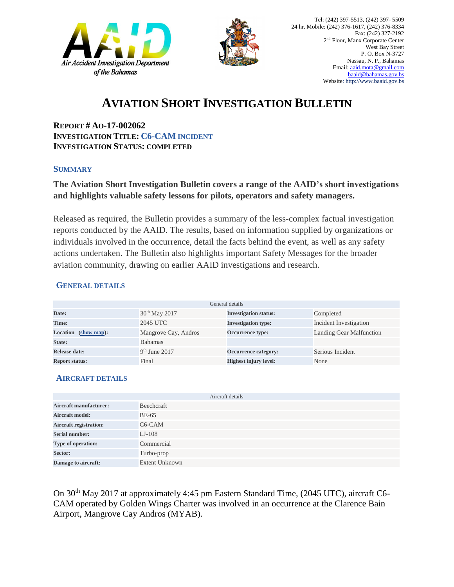



# **AVIATION SHORT INVESTIGATION BULLETIN**

**REPORT # AO-17-002062 INVESTIGATION TITLE: C6-CAM INCIDENT INVESTIGATION STATUS: COMPLETED**

#### **SUMMARY**

## **The Aviation Short Investigation Bulletin covers a range of the AAID's short investigations and highlights valuable safety lessons for pilots, operators and safety managers.**

Released as required, the Bulletin provides a summary of the less-complex factual investigation reports conducted by the AAID. The results, based on information supplied by organizations or individuals involved in the occurrence, detail the facts behind the event, as well as any safety actions undertaken. The Bulletin also highlights important Safety Messages for the broader aviation community, drawing on earlier AAID investigations and research.

## **GENERAL DETAILS**

| General details       |                      |                              |                                 |
|-----------------------|----------------------|------------------------------|---------------------------------|
| Date:                 | $30th$ May 2017      | <b>Investigation status:</b> | Completed                       |
| Time:                 | 2045 UTC             | <b>Investigation type:</b>   | Incident Investigation          |
| Location (show map):  | Mangrove Cay, Andros | <b>Occurrence type:</b>      | <b>Landing Gear Malfunction</b> |
| State:                | <b>Bahamas</b>       |                              |                                 |
| Release date:         | $9th$ June 2017      | Occurrence category:         | Serious Incident                |
| <b>Report status:</b> | Final                | <b>Highest injury level:</b> | None                            |

## **AIRCRAFT DETAILS**

|                               | Aircraft details      |
|-------------------------------|-----------------------|
| <b>Aircraft manufacturer:</b> | Beechcraft            |
| <b>Aircraft model:</b>        | <b>BE-65</b>          |
| <b>Aircraft registration:</b> | $C6$ -CAM             |
| <b>Serial number:</b>         | $LJ-108$              |
| Type of operation:            | Commercial            |
| Sector:                       | Turbo-prop            |
| Damage to aircraft:           | <b>Extent Unknown</b> |

On 30th May 2017 at approximately 4:45 pm Eastern Standard Time, (2045 UTC), aircraft C6- CAM operated by Golden Wings Charter was involved in an occurrence at the Clarence Bain Airport, Mangrove Cay Andros (MYAB).